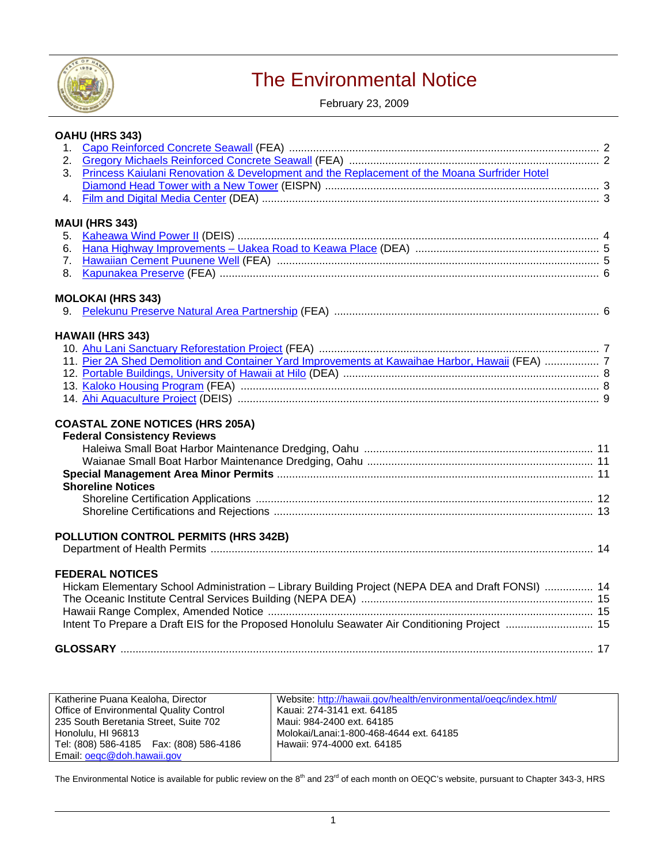

# The Environmental Notice

February 23, 2009

|              | OAHU (HRS 343)                                                                                           |  |
|--------------|----------------------------------------------------------------------------------------------------------|--|
|              |                                                                                                          |  |
|              |                                                                                                          |  |
| 3.           | Princess Kaiulani Renovation & Development and the Replacement of the Moana Surfrider Hotel              |  |
|              |                                                                                                          |  |
| $\mathbf{4}$ |                                                                                                          |  |
|              | <b>MAUI (HRS 343)</b>                                                                                    |  |
| 5.           |                                                                                                          |  |
| 6.           |                                                                                                          |  |
|              |                                                                                                          |  |
| 8.           |                                                                                                          |  |
|              | <b>MOLOKAI (HRS 343)</b>                                                                                 |  |
| 9.           |                                                                                                          |  |
|              |                                                                                                          |  |
|              | <b>HAWAII (HRS 343)</b>                                                                                  |  |
|              | 11. Pier 2A Shed Demolition and Container Yard Improvements at Kawaihae Harbor, Hawaii (FEA)  7          |  |
|              |                                                                                                          |  |
|              |                                                                                                          |  |
|              |                                                                                                          |  |
|              | <b>COASTAL ZONE NOTICES (HRS 205A)</b><br><b>Federal Consistency Reviews</b><br><b>Shoreline Notices</b> |  |
|              |                                                                                                          |  |
|              |                                                                                                          |  |
|              | POLLUTION CONTROL PERMITS (HRS 342B)                                                                     |  |
|              |                                                                                                          |  |
|              | <b>FEDERAL NOTICES</b>                                                                                   |  |
|              | Hickam Elementary School Administration - Library Building Project (NEPA DEA and Draft FONSI)  14        |  |
|              |                                                                                                          |  |
|              |                                                                                                          |  |
|              | Intent To Prepare a Draft EIS for the Proposed Honolulu Seawater Air Conditioning Project  15            |  |
|              |                                                                                                          |  |
|              |                                                                                                          |  |

| Katherine Puana Kealoha, Director         | Website: http://hawaii.gov/health/environmental/oegc/index.html/ |
|-------------------------------------------|------------------------------------------------------------------|
| Office of Environmental Quality Control   | Kauai: 274-3141 ext. 64185                                       |
| 235 South Beretania Street. Suite 702     | Maui: 984-2400 ext. 64185                                        |
| Honolulu, HI 96813                        | Molokai/Lanai:1-800-468-4644 ext. 64185                          |
| Tel: (808) 586-4185   Fax: (808) 586-4186 | Hawaii: 974-4000 ext. 64185                                      |
| Email: oegc@doh.hawaii.gov                |                                                                  |

The Environmental Notice is available for public review on the  $8<sup>th</sup>$  and 23<sup>rd</sup> of each month on OEQC's website, pursuant to Chapter 343-3, HRS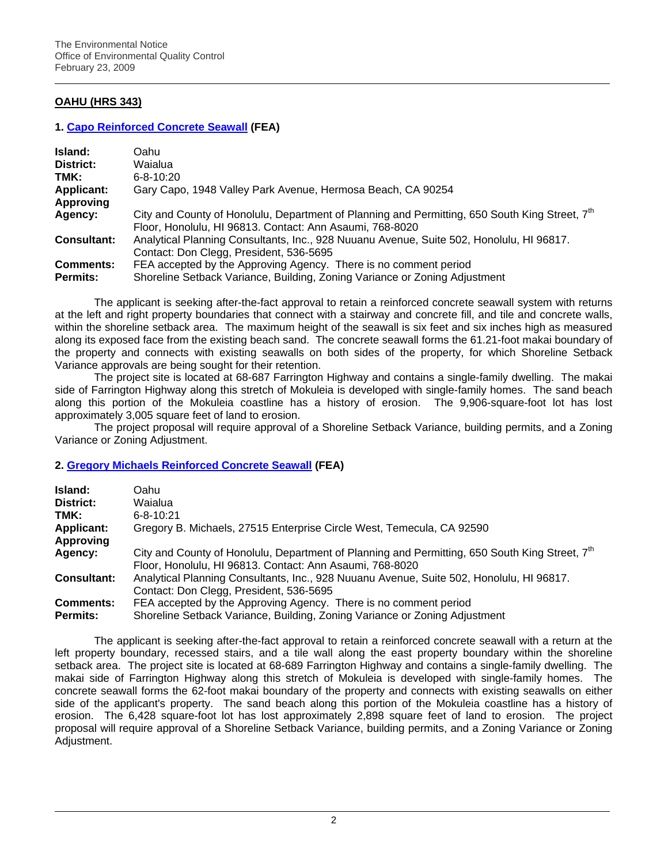# **OAHU (HRS 343)**

### **1. [Capo Reinforced Concrete Seawall](http://oeqc.doh.hawaii.gov/Shared%20Documents/EA_and_EIS_Online_Library/Oahu/2000s/2009-02-23-OA-FEA-Capo-Seawall.pdf) (FEA)**

| Island:            | Oahu                                                                                                                                                                   |
|--------------------|------------------------------------------------------------------------------------------------------------------------------------------------------------------------|
| District:          | Waialua                                                                                                                                                                |
| TMK:               | $6 - 8 - 10:20$                                                                                                                                                        |
| <b>Applicant:</b>  | Gary Capo, 1948 Valley Park Avenue, Hermosa Beach, CA 90254                                                                                                            |
| Approving          |                                                                                                                                                                        |
| Agency:            | City and County of Honolulu, Department of Planning and Permitting, 650 South King Street, 7 <sup>th</sup><br>Floor, Honolulu, HI 96813. Contact: Ann Asaumi, 768-8020 |
| <b>Consultant:</b> | Analytical Planning Consultants, Inc., 928 Nuuanu Avenue, Suite 502, Honolulu, HI 96817.<br>Contact: Don Clegg, President, 536-5695                                    |
| <b>Comments:</b>   | FEA accepted by the Approving Agency. There is no comment period                                                                                                       |
| <b>Permits:</b>    | Shoreline Setback Variance, Building, Zoning Variance or Zoning Adjustment                                                                                             |

The applicant is seeking after-the-fact approval to retain a reinforced concrete seawall system with returns at the left and right property boundaries that connect with a stairway and concrete fill, and tile and concrete walls, within the shoreline setback area. The maximum height of the seawall is six feet and six inches high as measured along its exposed face from the existing beach sand. The concrete seawall forms the 61.21-foot makai boundary of the property and connects with existing seawalls on both sides of the property, for which Shoreline Setback Variance approvals are being sought for their retention.

The project site is located at 68-687 Farrington Highway and contains a single-family dwelling. The makai side of Farrington Highway along this stretch of Mokuleia is developed with single-family homes. The sand beach along this portion of the Mokuleia coastline has a history of erosion. The 9,906-square-foot lot has lost approximately 3,005 square feet of land to erosion.

The project proposal will require approval of a Shoreline Setback Variance, building permits, and a Zoning Variance or Zoning Adjustment.

# **2. [Gregory Michaels Reinforced Concrete Seawall](http://oeqc.doh.hawaii.gov/Shared%20Documents/EA_and_EIS_Online_Library/Oahu/2000s/2009-02-23-OA-FEA-Michaels-Seawall.pdf) (FEA)**

| Island:            | Oahu                                                                                                                                                                   |
|--------------------|------------------------------------------------------------------------------------------------------------------------------------------------------------------------|
| District:          | Waialua                                                                                                                                                                |
| TMK:               | $6 - 8 - 10:21$                                                                                                                                                        |
| <b>Applicant:</b>  | Gregory B. Michaels, 27515 Enterprise Circle West, Temecula, CA 92590                                                                                                  |
| <b>Approving</b>   |                                                                                                                                                                        |
| Agency:            | City and County of Honolulu, Department of Planning and Permitting, 650 South King Street, 7 <sup>th</sup><br>Floor, Honolulu, HI 96813. Contact: Ann Asaumi, 768-8020 |
| <b>Consultant:</b> | Analytical Planning Consultants, Inc., 928 Nuuanu Avenue, Suite 502, Honolulu, HI 96817.<br>Contact: Don Clegg, President, 536-5695                                    |
| <b>Comments:</b>   | FEA accepted by the Approving Agency. There is no comment period                                                                                                       |
| <b>Permits:</b>    | Shoreline Setback Variance, Building, Zoning Variance or Zoning Adjustment                                                                                             |

The applicant is seeking after-the-fact approval to retain a reinforced concrete seawall with a return at the left property boundary, recessed stairs, and a tile wall along the east property boundary within the shoreline setback area. The project site is located at 68-689 Farrington Highway and contains a single-family dwelling. The makai side of Farrington Highway along this stretch of Mokuleia is developed with single-family homes. The concrete seawall forms the 62-foot makai boundary of the property and connects with existing seawalls on either side of the applicant's property. The sand beach along this portion of the Mokuleia coastline has a history of erosion. The 6,428 square-foot lot has lost approximately 2,898 square feet of land to erosion. The project proposal will require approval of a Shoreline Setback Variance, building permits, and a Zoning Variance or Zoning Adjustment.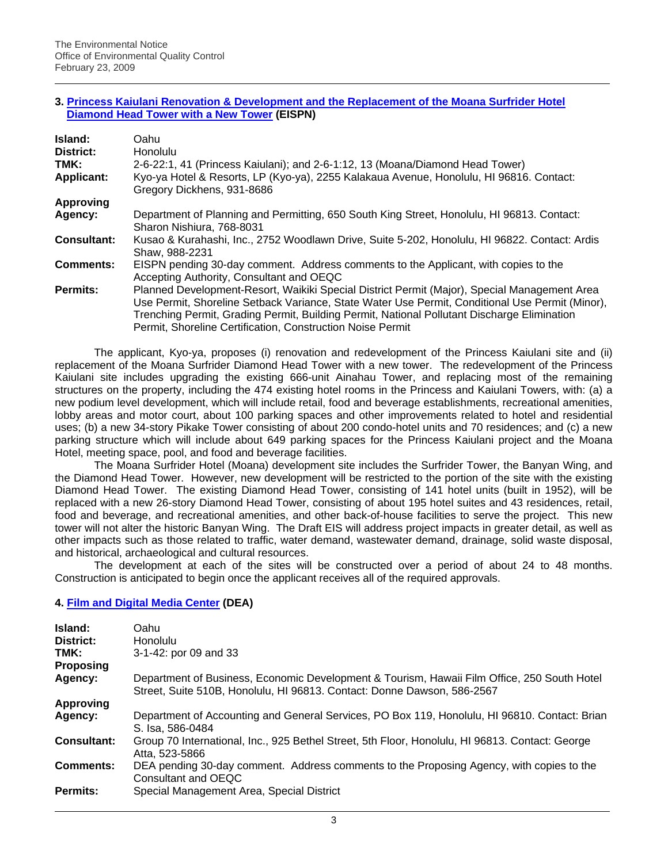#### **3. [Princess Kaiulani Renovation & Development and the Replacement of the Moana Surfrider Hotel](http://oeqc.doh.hawaii.gov/Shared%20Documents/EA_and_EIS_Online_Library/Oahu/2000s/2009-02-23-OA-EISPN-Princess-Kaiulani-Renovation.pdf)  [Diamond Head Tower with a New Tower](http://oeqc.doh.hawaii.gov/Shared%20Documents/EA_and_EIS_Online_Library/Oahu/2000s/2009-02-23-OA-EISPN-Princess-Kaiulani-Renovation.pdf) (EISPN)**

| Island:<br>District:<br>TMK:<br><b>Applicant:</b> | Oahu<br><b>Honolulu</b><br>2-6-22:1, 41 (Princess Kaiulani); and 2-6-1:12, 13 (Moana/Diamond Head Tower)<br>Kyo-ya Hotel & Resorts, LP (Kyo-ya), 2255 Kalakaua Avenue, Honolulu, HI 96816. Contact:                                                                                                                                                          |
|---------------------------------------------------|--------------------------------------------------------------------------------------------------------------------------------------------------------------------------------------------------------------------------------------------------------------------------------------------------------------------------------------------------------------|
|                                                   | Gregory Dickhens, 931-8686                                                                                                                                                                                                                                                                                                                                   |
| <b>Approving</b>                                  |                                                                                                                                                                                                                                                                                                                                                              |
| Agency:                                           | Department of Planning and Permitting, 650 South King Street, Honolulu, HI 96813. Contact:<br>Sharon Nishiura, 768-8031                                                                                                                                                                                                                                      |
| Consultant:                                       | Kusao & Kurahashi, Inc., 2752 Woodlawn Drive, Suite 5-202, Honolulu, HI 96822. Contact: Ardis<br>Shaw, 988-2231                                                                                                                                                                                                                                              |
| <b>Comments:</b>                                  | EISPN pending 30-day comment. Address comments to the Applicant, with copies to the<br>Accepting Authority, Consultant and OEQC                                                                                                                                                                                                                              |
| Permits:                                          | Planned Development-Resort, Waikiki Special District Permit (Major), Special Management Area<br>Use Permit, Shoreline Setback Variance, State Water Use Permit, Conditional Use Permit (Minor),<br>Trenching Permit, Grading Permit, Building Permit, National Pollutant Discharge Elimination<br>Permit, Shoreline Certification, Construction Noise Permit |

The applicant, Kyo-ya, proposes (i) renovation and redevelopment of the Princess Kaiulani site and (ii) replacement of the Moana Surfrider Diamond Head Tower with a new tower. The redevelopment of the Princess Kaiulani site includes upgrading the existing 666-unit Ainahau Tower, and replacing most of the remaining structures on the property, including the 474 existing hotel rooms in the Princess and Kaiulani Towers, with: (a) a new podium level development, which will include retail, food and beverage establishments, recreational amenities, lobby areas and motor court, about 100 parking spaces and other improvements related to hotel and residential uses; (b) a new 34-story Pikake Tower consisting of about 200 condo-hotel units and 70 residences; and (c) a new parking structure which will include about 649 parking spaces for the Princess Kaiulani project and the Moana Hotel, meeting space, pool, and food and beverage facilities.

The Moana Surfrider Hotel (Moana) development site includes the Surfrider Tower, the Banyan Wing, and the Diamond Head Tower. However, new development will be restricted to the portion of the site with the existing Diamond Head Tower. The existing Diamond Head Tower, consisting of 141 hotel units (built in 1952), will be replaced with a new 26-story Diamond Head Tower, consisting of about 195 hotel suites and 43 residences, retail, food and beverage, and recreational amenities, and other back-of-house facilities to serve the project. This new tower will not alter the historic Banyan Wing. The Draft EIS will address project impacts in greater detail, as well as other impacts such as those related to traffic, water demand, wastewater demand, drainage, solid waste disposal, and historical, archaeological and cultural resources.

The development at each of the sites will be constructed over a period of about 24 to 48 months. Construction is anticipated to begin once the applicant receives all of the required approvals.

# **4. [Film and Digital Media Center](http://oeqc.doh.hawaii.gov/Shared%20Documents/EA_and_EIS_Online_Library/Oahu/2000s/2009-02-23-OA-DEA-Film-Digital-Media-Center.pdf) (DEA)**

| Island:            | Oahu                                                                                                                                                                   |
|--------------------|------------------------------------------------------------------------------------------------------------------------------------------------------------------------|
| District:          | Honolulu                                                                                                                                                               |
| TMK:               | 3-1-42: por 09 and 33                                                                                                                                                  |
| Proposing          |                                                                                                                                                                        |
| Agency:            | Department of Business, Economic Development & Tourism, Hawaii Film Office, 250 South Hotel<br>Street, Suite 510B, Honolulu, HI 96813. Contact: Donne Dawson, 586-2567 |
| <b>Approving</b>   |                                                                                                                                                                        |
| Agency:            | Department of Accounting and General Services, PO Box 119, Honolulu, HI 96810. Contact: Brian<br>S. Isa. 586-0484                                                      |
| <b>Consultant:</b> | Group 70 International, Inc., 925 Bethel Street, 5th Floor, Honolulu, HI 96813. Contact: George<br>Atta. 523-5866                                                      |
| <b>Comments:</b>   | DEA pending 30-day comment. Address comments to the Proposing Agency, with copies to the<br>Consultant and OEQC                                                        |
| Permits:           | Special Management Area, Special District                                                                                                                              |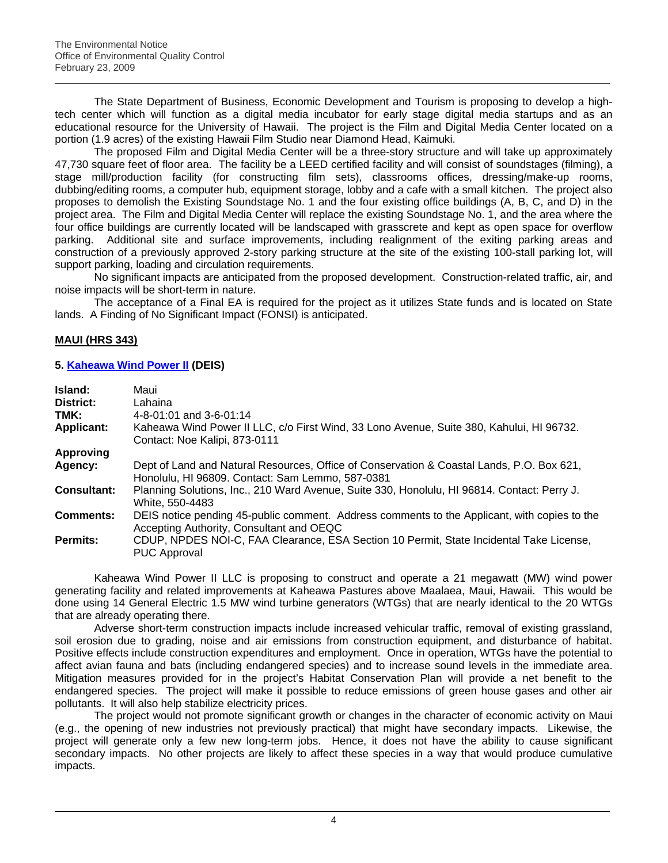The State Department of Business, Economic Development and Tourism is proposing to develop a hightech center which will function as a digital media incubator for early stage digital media startups and as an educational resource for the University of Hawaii. The project is the Film and Digital Media Center located on a portion (1.9 acres) of the existing Hawaii Film Studio near Diamond Head, Kaimuki.

The proposed Film and Digital Media Center will be a three-story structure and will take up approximately 47,730 square feet of floor area. The facility be a LEED certified facility and will consist of soundstages (filming), a stage mill/production facility (for constructing film sets), classrooms offices, dressing/make-up rooms, dubbing/editing rooms, a computer hub, equipment storage, lobby and a cafe with a small kitchen. The project also proposes to demolish the Existing Soundstage No. 1 and the four existing office buildings (A, B, C, and D) in the project area. The Film and Digital Media Center will replace the existing Soundstage No. 1, and the area where the four office buildings are currently located will be landscaped with grasscrete and kept as open space for overflow parking. Additional site and surface improvements, including realignment of the exiting parking areas and construction of a previously approved 2-story parking structure at the site of the existing 100-stall parking lot, will support parking, loading and circulation requirements.

No significant impacts are anticipated from the proposed development. Construction-related traffic, air, and noise impacts will be short-term in nature.

The acceptance of a Final EA is required for the project as it utilizes State funds and is located on State lands. A Finding of No Significant Impact (FONSI) is anticipated.

# **MAUI (HRS 343)**

### **5. [Kaheawa Wind Power II](http://oeqc.doh.hawaii.gov/Shared%20Documents/EA_and_EIS_Online_Library/Maui/2000s/2009-02-23-MA-DEIS-Kaheawa-Wind-Power.pdf) (DEIS)**

| Island:<br>District:<br>TMK: | Maui<br>Lahaina<br>$4 - 8 - 01:01$ and $3 - 6 - 01:14$                                                                                        |
|------------------------------|-----------------------------------------------------------------------------------------------------------------------------------------------|
| <b>Applicant:</b>            | Kaheawa Wind Power II LLC, c/o First Wind, 33 Lono Avenue, Suite 380, Kahului, HI 96732.<br>Contact: Noe Kalipi, 873-0111                     |
| <b>Approving</b>             |                                                                                                                                               |
| Agency:                      | Dept of Land and Natural Resources, Office of Conservation & Coastal Lands, P.O. Box 621,<br>Honolulu, HI 96809. Contact: Sam Lemmo, 587-0381 |
| <b>Consultant:</b>           | Planning Solutions, Inc., 210 Ward Avenue, Suite 330, Honolulu, HI 96814. Contact: Perry J.<br>White, 550-4483                                |
| Comments:                    | DEIS notice pending 45-public comment. Address comments to the Applicant, with copies to the<br>Accepting Authority, Consultant and OEQC      |
| Permits:                     | CDUP, NPDES NOI-C, FAA Clearance, ESA Section 10 Permit, State Incidental Take License,<br><b>PUC Approval</b>                                |

Kaheawa Wind Power II LLC is proposing to construct and operate a 21 megawatt (MW) wind power generating facility and related improvements at Kaheawa Pastures above Maalaea, Maui, Hawaii. This would be done using 14 General Electric 1.5 MW wind turbine generators (WTGs) that are nearly identical to the 20 WTGs that are already operating there.

Adverse short-term construction impacts include increased vehicular traffic, removal of existing grassland, soil erosion due to grading, noise and air emissions from construction equipment, and disturbance of habitat. Positive effects include construction expenditures and employment. Once in operation, WTGs have the potential to affect avian fauna and bats (including endangered species) and to increase sound levels in the immediate area. Mitigation measures provided for in the project's Habitat Conservation Plan will provide a net benefit to the endangered species. The project will make it possible to reduce emissions of green house gases and other air pollutants. It will also help stabilize electricity prices.

The project would not promote significant growth or changes in the character of economic activity on Maui (e.g., the opening of new industries not previously practical) that might have secondary impacts. Likewise, the project will generate only a few new long-term jobs. Hence, it does not have the ability to cause significant secondary impacts. No other projects are likely to affect these species in a way that would produce cumulative impacts.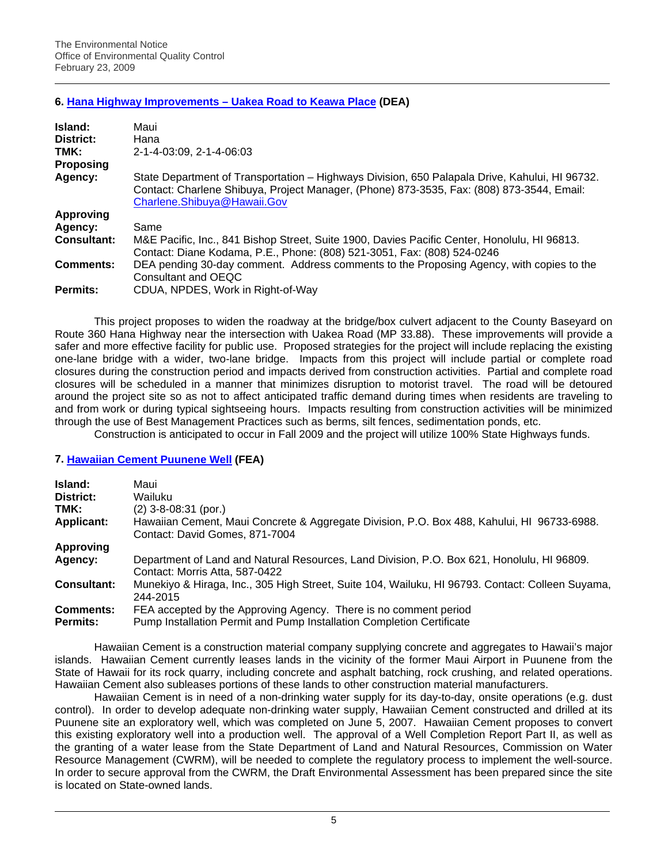# **6. [Hana Highway Improvements – Uakea Road to Keawa Place](http://oeqc.doh.hawaii.gov/Shared%20Documents/EA_and_EIS_Online_Library/Maui/2000s/2009-02-23-MA-DEA-Hana-Hwy-Uakea-Road.pdf) (DEA)**

| Island:            | Maui                                                                                                                                                                                                                       |
|--------------------|----------------------------------------------------------------------------------------------------------------------------------------------------------------------------------------------------------------------------|
| District:          | Hana                                                                                                                                                                                                                       |
| TMK:               | 2-1-4-03:09, 2-1-4-06:03                                                                                                                                                                                                   |
| <b>Proposing</b>   |                                                                                                                                                                                                                            |
| Agency:            | State Department of Transportation - Highways Division, 650 Palapala Drive, Kahului, HI 96732.<br>Contact: Charlene Shibuya, Project Manager, (Phone) 873-3535, Fax: (808) 873-3544, Email:<br>Charlene.Shibuya@Hawaii.Gov |
| <b>Approving</b>   |                                                                                                                                                                                                                            |
| Agency:            | Same                                                                                                                                                                                                                       |
| <b>Consultant:</b> | M&E Pacific, Inc., 841 Bishop Street, Suite 1900, Davies Pacific Center, Honolulu, HI 96813.<br>Contact: Diane Kodama, P.E., Phone: (808) 521-3051, Fax: (808) 524-0246                                                    |
| <b>Comments:</b>   | DEA pending 30-day comment. Address comments to the Proposing Agency, with copies to the<br>Consultant and OEQC                                                                                                            |
| Permits:           | CDUA, NPDES, Work in Right-of-Way                                                                                                                                                                                          |

 This project proposes to widen the roadway at the bridge/box culvert adjacent to the County Baseyard on Route 360 Hana Highway near the intersection with Uakea Road (MP 33.88). These improvements will provide a safer and more effective facility for public use. Proposed strategies for the project will include replacing the existing one-lane bridge with a wider, two-lane bridge. Impacts from this project will include partial or complete road closures during the construction period and impacts derived from construction activities. Partial and complete road closures will be scheduled in a manner that minimizes disruption to motorist travel. The road will be detoured around the project site so as not to affect anticipated traffic demand during times when residents are traveling to and from work or during typical sightseeing hours. Impacts resulting from construction activities will be minimized through the use of Best Management Practices such as berms, silt fences, sedimentation ponds, etc.

Construction is anticipated to occur in Fall 2009 and the project will utilize 100% State Highways funds.

#### **7. [Hawaiian Cement Puunene Well](http://oeqc.doh.hawaii.gov/Shared%20Documents/EA_and_EIS_Online_Library/Maui/2000s/2009-02-23-MA-FEA-Hawaiian-Cement-Puunene.pdf) (FEA)**

| Island:            | Maui                                                                                                                         |
|--------------------|------------------------------------------------------------------------------------------------------------------------------|
| District:          | Wailuku                                                                                                                      |
| TMK:               | $(2)$ 3-8-08:31 (por.)                                                                                                       |
| <b>Applicant:</b>  | Hawaiian Cement, Maui Concrete & Aggregate Division, P.O. Box 488, Kahului, HI 96733-6988.<br>Contact: David Gomes, 871-7004 |
| Approving          |                                                                                                                              |
| Agency:            | Department of Land and Natural Resources, Land Division, P.O. Box 621, Honolulu, HI 96809.<br>Contact: Morris Atta, 587-0422 |
| <b>Consultant:</b> | Munekiyo & Hiraga, Inc., 305 High Street, Suite 104, Wailuku, HI 96793. Contact: Colleen Suyama,<br>244-2015                 |
| <b>Comments:</b>   | FEA accepted by the Approving Agency. There is no comment period                                                             |
| <b>Permits:</b>    | Pump Installation Permit and Pump Installation Completion Certificate                                                        |

Hawaiian Cement is a construction material company supplying concrete and aggregates to Hawaii's major islands. Hawaiian Cement currently leases lands in the vicinity of the former Maui Airport in Puunene from the State of Hawaii for its rock quarry, including concrete and asphalt batching, rock crushing, and related operations. Hawaiian Cement also subleases portions of these lands to other construction material manufacturers.

Hawaiian Cement is in need of a non-drinking water supply for its day-to-day, onsite operations (e.g. dust control). In order to develop adequate non-drinking water supply, Hawaiian Cement constructed and drilled at its Puunene site an exploratory well, which was completed on June 5, 2007. Hawaiian Cement proposes to convert this existing exploratory well into a production well. The approval of a Well Completion Report Part II, as well as the granting of a water lease from the State Department of Land and Natural Resources, Commission on Water Resource Management (CWRM), will be needed to complete the regulatory process to implement the well-source. In order to secure approval from the CWRM, the Draft Environmental Assessment has been prepared since the site is located on State-owned lands.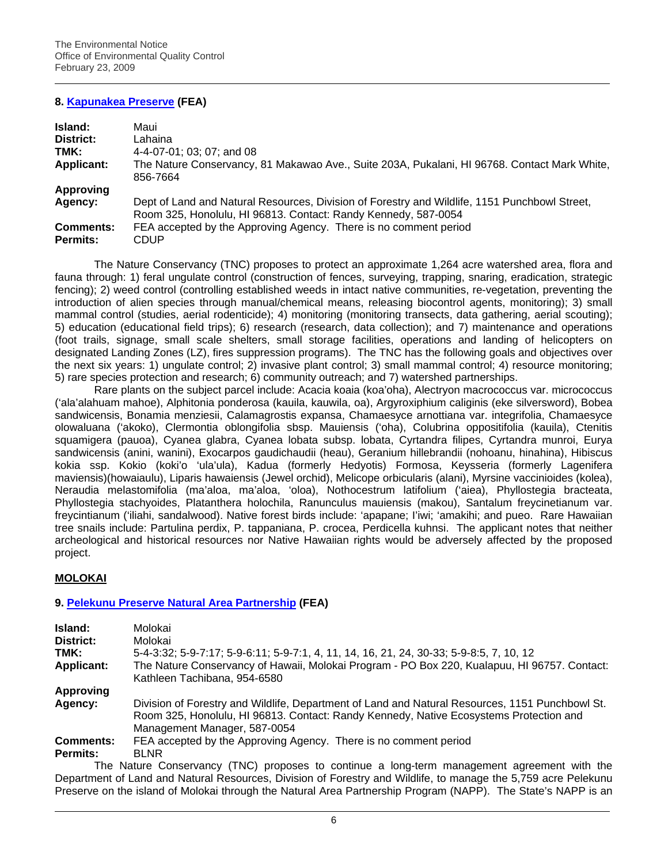# **8. [Kapunakea Preserve](http://oeqc.doh.hawaii.gov/Shared%20Documents/EA_and_EIS_Online_Library/Maui/2000s/2009-02-23-MA-FEA-Kapunakea-Preserve.pdf) (FEA)**

| Island:           | Maui                                                                                                                                                            |
|-------------------|-----------------------------------------------------------------------------------------------------------------------------------------------------------------|
| District:         | Lahaina                                                                                                                                                         |
| TMK:              | 4-4-07-01; 03; 07; and 08                                                                                                                                       |
| <b>Applicant:</b> | The Nature Conservancy, 81 Makawao Ave., Suite 203A, Pukalani, HI 96768. Contact Mark White,<br>856-7664                                                        |
| <b>Approving</b>  |                                                                                                                                                                 |
| Agency:           | Dept of Land and Natural Resources, Division of Forestry and Wildlife, 1151 Punchbowl Street,<br>Room 325, Honolulu, HI 96813. Contact: Randy Kennedy, 587-0054 |
| <b>Comments:</b>  | FEA accepted by the Approving Agency. There is no comment period                                                                                                |
| Permits:          | CDUP                                                                                                                                                            |

The Nature Conservancy (TNC) proposes to protect an approximate 1,264 acre watershed area, flora and fauna through: 1) feral ungulate control (construction of fences, surveying, trapping, snaring, eradication, strategic fencing); 2) weed control (controlling established weeds in intact native communities, re-vegetation, preventing the introduction of alien species through manual/chemical means, releasing biocontrol agents, monitoring); 3) small mammal control (studies, aerial rodenticide); 4) monitoring (monitoring transects, data gathering, aerial scouting); 5) education (educational field trips); 6) research (research, data collection); and 7) maintenance and operations (foot trails, signage, small scale shelters, small storage facilities, operations and landing of helicopters on designated Landing Zones (LZ), fires suppression programs). The TNC has the following goals and objectives over the next six years: 1) ungulate control; 2) invasive plant control; 3) small mammal control; 4) resource monitoring; 5) rare species protection and research; 6) community outreach; and 7) watershed partnerships.

Rare plants on the subject parcel include: Acacia koaia (koa'oha), Alectryon macrococcus var. micrococcus ('ala'alahuam mahoe), Alphitonia ponderosa (kauila, kauwila, oa), Argyroxiphium caliginis (eke silversword), Bobea sandwicensis, Bonamia menziesii, Calamagrostis expansa, Chamaesyce arnottiana var. integrifolia, Chamaesyce olowaluana ('akoko), Clermontia oblongifolia sbsp. Mauiensis ('oha), Colubrina oppositifolia (kauila), Ctenitis squamigera (pauoa), Cyanea glabra, Cyanea lobata subsp. lobata, Cyrtandra filipes, Cyrtandra munroi, Eurya sandwicensis (anini, wanini), Exocarpos gaudichaudii (heau), Geranium hillebrandii (nohoanu, hinahina), Hibiscus kokia ssp. Kokio (koki'o 'ula'ula), Kadua (formerly Hedyotis) Formosa, Keysseria (formerly Lagenifera maviensis)(howaiaulu), Liparis hawaiensis (Jewel orchid), Melicope orbicularis (alani), Myrsine vaccinioides (kolea), Neraudia melastomifolia (ma'aloa, ma'aloa, 'oloa), Nothocestrum latifolium ('aiea), Phyllostegia bracteata, Phyllostegia stachyoides, Platanthera holochila, Ranunculus mauiensis (makou), Santalum freycinetianum var. freycintianum ('iliahi, sandalwood). Native forest birds include: 'apapane; I'iwi; 'amakihi; and pueo. Rare Hawaiian tree snails include: Partulina perdix, P. tappaniana, P. crocea, Perdicella kuhnsi. The applicant notes that neither archeological and historical resources nor Native Hawaiian rights would be adversely affected by the proposed project.

# **MOLOKAI**

# **9. [Pelekunu Preserve Natural Area Partnership](http://oeqc.doh.hawaii.gov/Shared%20Documents/EA_and_EIS_Online_Library/Molokai/2000s/2009-02-23-MO-FEA-Pelekunu-Preserve.pdf) (FEA)**

| Island:           | Molokai                                                                                                                                                                                                                   |
|-------------------|---------------------------------------------------------------------------------------------------------------------------------------------------------------------------------------------------------------------------|
| District:         | Molokai                                                                                                                                                                                                                   |
| TMK:              | 5-4-3:32; 5-9-7:17; 5-9-6:11; 5-9-7:1, 4, 11, 14, 16, 21, 24, 30-33; 5-9-8:5, 7, 10, 12                                                                                                                                   |
| <b>Applicant:</b> | The Nature Conservancy of Hawaii, Molokai Program - PO Box 220, Kualapuu, HI 96757. Contact:<br>Kathleen Tachibana, 954-6580                                                                                              |
| <b>Approving</b>  |                                                                                                                                                                                                                           |
| Agency:           | Division of Forestry and Wildlife, Department of Land and Natural Resources, 1151 Punchbowl St.<br>Room 325, Honolulu, HI 96813. Contact: Randy Kennedy, Native Ecosystems Protection and<br>Management Manager, 587-0054 |
| <b>Comments:</b>  | FEA accepted by the Approving Agency. There is no comment period                                                                                                                                                          |
| Permits:          | <b>BLNR</b>                                                                                                                                                                                                               |
|                   | The Nature Conservancy (TNC) proposes to continue a long-term management agreement with the                                                                                                                               |

The Nature Conservancy (TNC) proposes to continue a long-term management agreement with the Department of Land and Natural Resources, Division of Forestry and Wildlife, to manage the 5,759 acre Pelekunu Preserve on the island of Molokai through the Natural Area Partnership Program (NAPP). The State's NAPP is an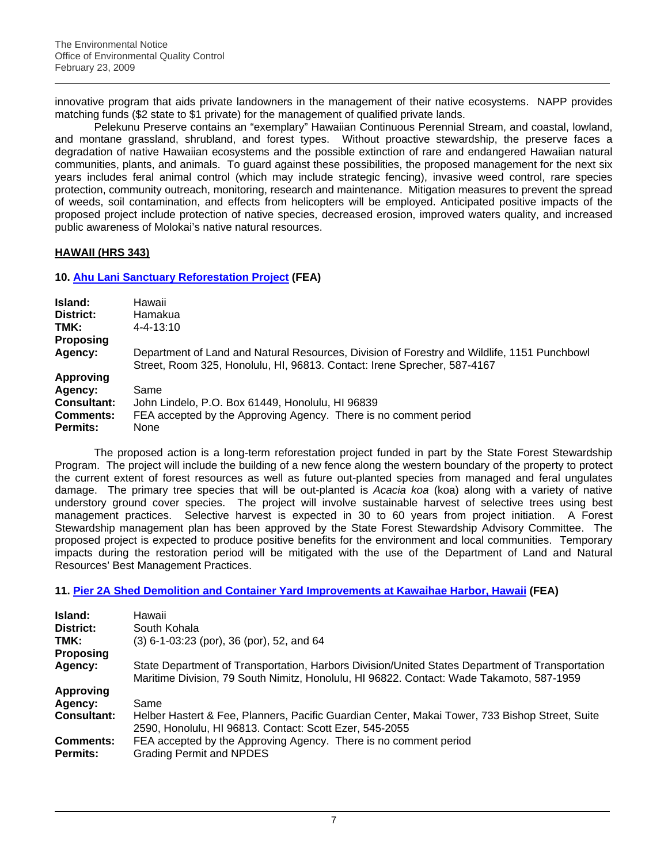innovative program that aids private landowners in the management of their native ecosystems. NAPP provides matching funds (\$2 state to \$1 private) for the management of qualified private lands.

Pelekunu Preserve contains an "exemplary" Hawaiian Continuous Perennial Stream, and coastal, lowland, and montane grassland, shrubland, and forest types. Without proactive stewardship, the preserve faces a degradation of native Hawaiian ecosystems and the possible extinction of rare and endangered Hawaiian natural communities, plants, and animals. To guard against these possibilities, the proposed management for the next six years includes feral animal control (which may include strategic fencing), invasive weed control, rare species protection, community outreach, monitoring, research and maintenance. Mitigation measures to prevent the spread of weeds, soil contamination, and effects from helicopters will be employed. Anticipated positive impacts of the proposed project include protection of native species, decreased erosion, improved waters quality, and increased public awareness of Molokai's native natural resources.

# **HAWAII (HRS 343)**

**10. [Ahu Lani Sanctuary Reforestation Project](http://oeqc.doh.hawaii.gov/Shared%20Documents/EA_and_EIS_Online_Library/Hawaii/2000s/2009-02-23-HA-FEA-Ahu-Lani-Sanctuary-Reforestation.pdf) (FEA)** 

| Island:            | Hawaii                                                                                                                                                                  |
|--------------------|-------------------------------------------------------------------------------------------------------------------------------------------------------------------------|
| District:          | Hamakua                                                                                                                                                                 |
| TMK:               | $4 - 4 - 13:10$                                                                                                                                                         |
| <b>Proposing</b>   |                                                                                                                                                                         |
| Agency:            | Department of Land and Natural Resources, Division of Forestry and Wildlife, 1151 Punchbowl<br>Street, Room 325, Honolulu, HI, 96813. Contact: Irene Sprecher, 587-4167 |
| <b>Approving</b>   |                                                                                                                                                                         |
| Agency:            | Same                                                                                                                                                                    |
| <b>Consultant:</b> | John Lindelo, P.O. Box 61449, Honolulu, HI 96839                                                                                                                        |
| <b>Comments:</b>   | FEA accepted by the Approving Agency. There is no comment period                                                                                                        |
| <b>Permits:</b>    | None                                                                                                                                                                    |

The proposed action is a long-term reforestation project funded in part by the State Forest Stewardship Program. The project will include the building of a new fence along the western boundary of the property to protect the current extent of forest resources as well as future out-planted species from managed and feral ungulates damage. The primary tree species that will be out-planted is *Acacia koa* (koa) along with a variety of native understory ground cover species. The project will involve sustainable harvest of selective trees using best management practices. Selective harvest is expected in 30 to 60 years from project initiation. A Forest Stewardship management plan has been approved by the State Forest Stewardship Advisory Committee. The proposed project is expected to produce positive benefits for the environment and local communities. Temporary impacts during the restoration period will be mitigated with the use of the Department of Land and Natural Resources' Best Management Practices.

**11. [Pier 2A Shed Demolition and Container Yard Improvements at Kawaihae Harbor, Hawaii](http://oeqc.doh.hawaii.gov/Shared%20Documents/EA_and_EIS_Online_Library/Hawaii/2000s/2009-02-23-HA-FEA-Kawaihae-Pier-2A-Shed.pdf) (FEA)** 

| Island:<br>District:<br>TMK:<br><b>Proposing</b> | Hawaii<br>South Kohala<br>(3) 6-1-03:23 (por), 36 (por), 52, and 64                                                                                                                         |
|--------------------------------------------------|---------------------------------------------------------------------------------------------------------------------------------------------------------------------------------------------|
| Agency:                                          | State Department of Transportation, Harbors Division/United States Department of Transportation<br>Maritime Division, 79 South Nimitz, Honolulu, HI 96822. Contact: Wade Takamoto, 587-1959 |
| <b>Approving</b>                                 |                                                                                                                                                                                             |
| Agency:                                          | Same                                                                                                                                                                                        |
| <b>Consultant:</b>                               | Helber Hastert & Fee, Planners, Pacific Guardian Center, Makai Tower, 733 Bishop Street, Suite<br>2590, Honolulu, HI 96813. Contact: Scott Ezer, 545-2055                                   |
| <b>Comments:</b><br><b>Permits:</b>              | FEA accepted by the Approving Agency. There is no comment period<br><b>Grading Permit and NPDES</b>                                                                                         |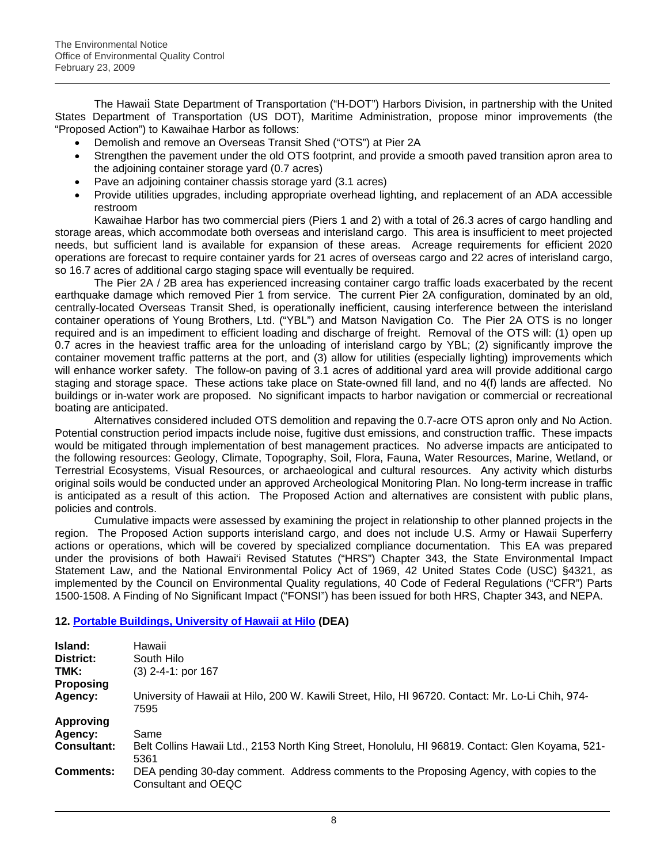The Hawaii State Department of Transportation ("H-DOT") Harbors Division, in partnership with the United States Department of Transportation (US DOT), Maritime Administration, propose minor improvements (the "Proposed Action") to Kawaihae Harbor as follows:

- Demolish and remove an Overseas Transit Shed ("OTS") at Pier 2A
- Strengthen the pavement under the old OTS footprint, and provide a smooth paved transition apron area to the adjoining container storage yard (0.7 acres)
- Pave an adjoining container chassis storage yard (3.1 acres)
- Provide utilities upgrades, including appropriate overhead lighting, and replacement of an ADA accessible restroom

Kawaihae Harbor has two commercial piers (Piers 1 and 2) with a total of 26.3 acres of cargo handling and storage areas, which accommodate both overseas and interisland cargo. This area is insufficient to meet projected needs, but sufficient land is available for expansion of these areas. Acreage requirements for efficient 2020 operations are forecast to require container yards for 21 acres of overseas cargo and 22 acres of interisland cargo, so 16.7 acres of additional cargo staging space will eventually be required.

The Pier 2A / 2B area has experienced increasing container cargo traffic loads exacerbated by the recent earthquake damage which removed Pier 1 from service. The current Pier 2A configuration, dominated by an old, centrally-located Overseas Transit Shed, is operationally inefficient, causing interference between the interisland container operations of Young Brothers, Ltd. ("YBL") and Matson Navigation Co. The Pier 2A OTS is no longer required and is an impediment to efficient loading and discharge of freight. Removal of the OTS will: (1) open up 0.7 acres in the heaviest traffic area for the unloading of interisland cargo by YBL; (2) significantly improve the container movement traffic patterns at the port, and (3) allow for utilities (especially lighting) improvements which will enhance worker safety. The follow-on paving of 3.1 acres of additional yard area will provide additional cargo staging and storage space. These actions take place on State-owned fill land, and no 4(f) lands are affected. No buildings or in-water work are proposed. No significant impacts to harbor navigation or commercial or recreational boating are anticipated.

Alternatives considered included OTS demolition and repaving the 0.7-acre OTS apron only and No Action. Potential construction period impacts include noise, fugitive dust emissions, and construction traffic. These impacts would be mitigated through implementation of best management practices. No adverse impacts are anticipated to the following resources: Geology, Climate, Topography, Soil, Flora, Fauna, Water Resources, Marine, Wetland, or Terrestrial Ecosystems, Visual Resources, or archaeological and cultural resources. Any activity which disturbs original soils would be conducted under an approved Archeological Monitoring Plan. No long-term increase in traffic is anticipated as a result of this action. The Proposed Action and alternatives are consistent with public plans, policies and controls.

Cumulative impacts were assessed by examining the project in relationship to other planned projects in the region. The Proposed Action supports interisland cargo, and does not include U.S. Army or Hawaii Superferry actions or operations, which will be covered by specialized compliance documentation. This EA was prepared under the provisions of both Hawai'i Revised Statutes ("HRS") Chapter 343, the State Environmental Impact Statement Law, and the National Environmental Policy Act of 1969, 42 United States Code (USC) §4321, as implemented by the Council on Environmental Quality regulations, 40 Code of Federal Regulations ("CFR") Parts 1500-1508. A Finding of No Significant Impact ("FONSI") has been issued for both HRS, Chapter 343, and NEPA.

# **12. [Portable Buildings, University of Hawaii at Hilo](http://oeqc.doh.hawaii.gov/Shared%20Documents/EA_and_EIS_Online_Library/Hawaii/2000s/2009-02-23-HA-DEA-Portable-Bldgs-UH-Hilo.pdf) (DEA)**

| Island:<br>District:<br>TMK: | Hawaii<br>South Hilo<br>$(3)$ 2-4-1: por 167                                                                    |
|------------------------------|-----------------------------------------------------------------------------------------------------------------|
| Proposing                    |                                                                                                                 |
| Agency:                      | University of Hawaii at Hilo, 200 W. Kawili Street, Hilo, HI 96720. Contact: Mr. Lo-Li Chih, 974-<br>7595       |
| <b>Approving</b>             |                                                                                                                 |
| Agency:                      | Same                                                                                                            |
| <b>Consultant:</b>           | Belt Collins Hawaii Ltd., 2153 North King Street, Honolulu, HI 96819. Contact: Glen Koyama, 521-<br>5361        |
| <b>Comments:</b>             | DEA pending 30-day comment. Address comments to the Proposing Agency, with copies to the<br>Consultant and OEQC |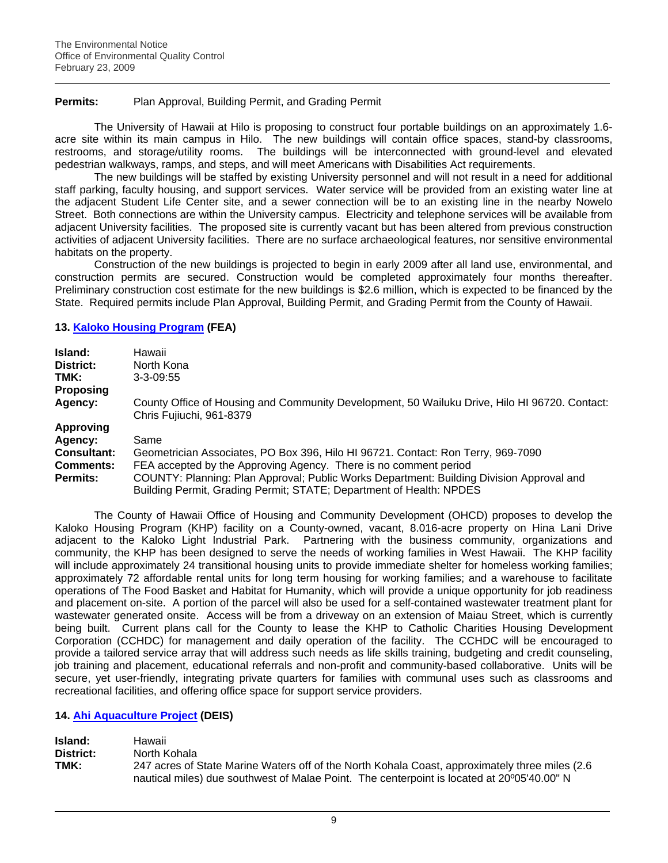### **Permits:** Plan Approval, Building Permit, and Grading Permit

The University of Hawaii at Hilo is proposing to construct four portable buildings on an approximately 1.6 acre site within its main campus in Hilo. The new buildings will contain office spaces, stand-by classrooms, restrooms, and storage/utility rooms. The buildings will be interconnected with ground-level and elevated pedestrian walkways, ramps, and steps, and will meet Americans with Disabilities Act requirements.

The new buildings will be staffed by existing University personnel and will not result in a need for additional staff parking, faculty housing, and support services. Water service will be provided from an existing water line at the adjacent Student Life Center site, and a sewer connection will be to an existing line in the nearby Nowelo Street. Both connections are within the University campus. Electricity and telephone services will be available from adjacent University facilities. The proposed site is currently vacant but has been altered from previous construction activities of adjacent University facilities. There are no surface archaeological features, nor sensitive environmental habitats on the property.

Construction of the new buildings is projected to begin in early 2009 after all land use, environmental, and construction permits are secured. Construction would be completed approximately four months thereafter. Preliminary construction cost estimate for the new buildings is \$2.6 million, which is expected to be financed by the State. Required permits include Plan Approval, Building Permit, and Grading Permit from the County of Hawaii.

### **13. [Kaloko Housing Program](http://oeqc.doh.hawaii.gov/Shared%20Documents/EA_and_EIS_Online_Library/Hawaii/2000s/2009-02-23-HA-FEA-Kaloko-Housing.pdf) (FEA)**

| Island:            | Hawaii                                                                                                                                                          |
|--------------------|-----------------------------------------------------------------------------------------------------------------------------------------------------------------|
| District:          | North Kona                                                                                                                                                      |
| TMK:               | $3 - 3 - 09:55$                                                                                                                                                 |
| <b>Proposing</b>   |                                                                                                                                                                 |
| Agency:            | County Office of Housing and Community Development, 50 Wailuku Drive, Hilo HI 96720. Contact:<br>Chris Fujiuchi, 961-8379                                       |
| <b>Approving</b>   |                                                                                                                                                                 |
| Agency:            | Same                                                                                                                                                            |
| <b>Consultant:</b> | Geometrician Associates, PO Box 396, Hilo HI 96721. Contact: Ron Terry, 969-7090                                                                                |
| Comments:          | FEA accepted by the Approving Agency. There is no comment period                                                                                                |
| <b>Permits:</b>    | COUNTY: Planning: Plan Approval; Public Works Department: Building Division Approval and<br>Building Permit, Grading Permit; STATE; Department of Health: NPDES |

The County of Hawaii Office of Housing and Community Development (OHCD) proposes to develop the Kaloko Housing Program (KHP) facility on a County-owned, vacant, 8.016-acre property on Hina Lani Drive adjacent to the Kaloko Light Industrial Park. Partnering with the business community, organizations and community, the KHP has been designed to serve the needs of working families in West Hawaii. The KHP facility will include approximately 24 transitional housing units to provide immediate shelter for homeless working families; approximately 72 affordable rental units for long term housing for working families; and a warehouse to facilitate operations of The Food Basket and Habitat for Humanity, which will provide a unique opportunity for job readiness and placement on-site. A portion of the parcel will also be used for a self-contained wastewater treatment plant for wastewater generated onsite. Access will be from a driveway on an extension of Maiau Street, which is currently being built. Current plans call for the County to lease the KHP to Catholic Charities Housing Development Corporation (CCHDC) for management and daily operation of the facility. The CCHDC will be encouraged to provide a tailored service array that will address such needs as life skills training, budgeting and credit counseling, job training and placement, educational referrals and non-profit and community-based collaborative. Units will be secure, yet user-friendly, integrating private quarters for families with communal uses such as classrooms and recreational facilities, and offering office space for support service providers.

# **14. [Ahi Aquaculture Project](http://oeqc.doh.hawaii.gov/Shared%20Documents/EA_and_EIS_Online_Library/Hawaii/2000s/2009-02-23-HA-DEIS-Ahi-Aquaculture.pdf) (DEIS)**

| Island:   | Hawaii                                                                                          |
|-----------|-------------------------------------------------------------------------------------------------|
| District: | North Kohala                                                                                    |
| TMK:      | 247 acres of State Marine Waters off of the North Kohala Coast, approximately three miles (2.6) |
|           | nautical miles) due southwest of Malae Point. The centerpoint is located at 20°05'40.00" N      |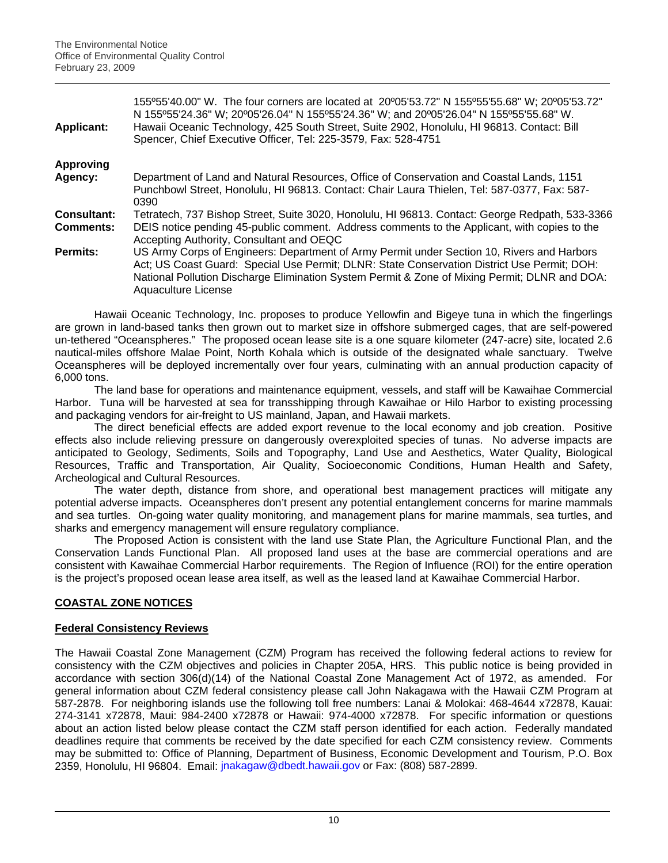| <b>Applicant:</b>               | 155°55'40.00" W. The four corners are located at 20°05'53.72" N 155°55'55.68" W; 20°05'53.72"<br>N 155°55'24.36" W; 20°05'26.04" N 155°55'24.36" W; and 20°05'26.04" N 155°55'55.68" W.<br>Hawaii Oceanic Technology, 425 South Street, Suite 2902, Honolulu, HI 96813. Contact: Bill<br>Spencer, Chief Executive Officer, Tel: 225-3579, Fax: 528-4751 |
|---------------------------------|---------------------------------------------------------------------------------------------------------------------------------------------------------------------------------------------------------------------------------------------------------------------------------------------------------------------------------------------------------|
| <b>Approving</b>                |                                                                                                                                                                                                                                                                                                                                                         |
| Agency:                         | Department of Land and Natural Resources, Office of Conservation and Coastal Lands, 1151<br>Punchbowl Street, Honolulu, HI 96813. Contact: Chair Laura Thielen, Tel: 587-0377, Fax: 587-<br>0390                                                                                                                                                        |
| Consultant:<br><b>Comments:</b> | Tetratech, 737 Bishop Street, Suite 3020, Honolulu, HI 96813. Contact: George Redpath, 533-3366<br>DEIS notice pending 45-public comment. Address comments to the Applicant, with copies to the<br>Accepting Authority, Consultant and OEQC                                                                                                             |
| Permits:                        | US Army Corps of Engineers: Department of Army Permit under Section 10, Rivers and Harbors<br>Act; US Coast Guard: Special Use Permit; DLNR: State Conservation District Use Permit; DOH:<br>National Pollution Discharge Elimination System Permit & Zone of Mixing Permit; DLNR and DOA:<br>Aquaculture License                                       |

Hawaii Oceanic Technology, Inc. proposes to produce Yellowfin and Bigeye tuna in which the fingerlings are grown in land-based tanks then grown out to market size in offshore submerged cages, that are self-powered un-tethered "Oceanspheres." The proposed ocean lease site is a one square kilometer (247-acre) site, located 2.6 nautical-miles offshore Malae Point, North Kohala which is outside of the designated whale sanctuary. Twelve Oceanspheres will be deployed incrementally over four years, culminating with an annual production capacity of 6,000 tons.

The land base for operations and maintenance equipment, vessels, and staff will be Kawaihae Commercial Harbor. Tuna will be harvested at sea for transshipping through Kawaihae or Hilo Harbor to existing processing and packaging vendors for air-freight to US mainland, Japan, and Hawaii markets.

The direct beneficial effects are added export revenue to the local economy and job creation. Positive effects also include relieving pressure on dangerously overexploited species of tunas. No adverse impacts are anticipated to Geology, Sediments, Soils and Topography, Land Use and Aesthetics, Water Quality, Biological Resources, Traffic and Transportation, Air Quality, Socioeconomic Conditions, Human Health and Safety, Archeological and Cultural Resources.

The water depth, distance from shore, and operational best management practices will mitigate any potential adverse impacts. Oceanspheres don't present any potential entanglement concerns for marine mammals and sea turtles. On-going water quality monitoring, and management plans for marine mammals, sea turtles, and sharks and emergency management will ensure regulatory compliance.

The Proposed Action is consistent with the land use State Plan, the Agriculture Functional Plan, and the Conservation Lands Functional Plan. All proposed land uses at the base are commercial operations and are consistent with Kawaihae Commercial Harbor requirements. The Region of Influence (ROI) for the entire operation is the project's proposed ocean lease area itself, as well as the leased land at Kawaihae Commercial Harbor.

# **COASTAL ZONE NOTICES**

# **Federal Consistency Reviews**

The Hawaii Coastal Zone Management (CZM) Program has received the following federal actions to review for consistency with the CZM objectives and policies in Chapter 205A, HRS. This public notice is being provided in accordance with section 306(d)(14) of the National Coastal Zone Management Act of 1972, as amended. For general information about CZM federal consistency please call John Nakagawa with the Hawaii CZM Program at 587-2878. For neighboring islands use the following toll free numbers: Lanai & Molokai: 468-4644 x72878, Kauai: 274-3141 x72878, Maui: 984-2400 x72878 or Hawaii: 974-4000 x72878. For specific information or questions about an action listed below please contact the CZM staff person identified for each action. Federally mandated deadlines require that comments be received by the date specified for each CZM consistency review. Comments may be submitted to: Office of Planning, Department of Business, Economic Development and Tourism, P.O. Box 2359, Honolulu, HI 96804. Email: [jnakagaw@dbedt.hawaii.gov](mailto:jnakagaw@dbedt.hawaii.gov) or Fax: (808) 587-2899.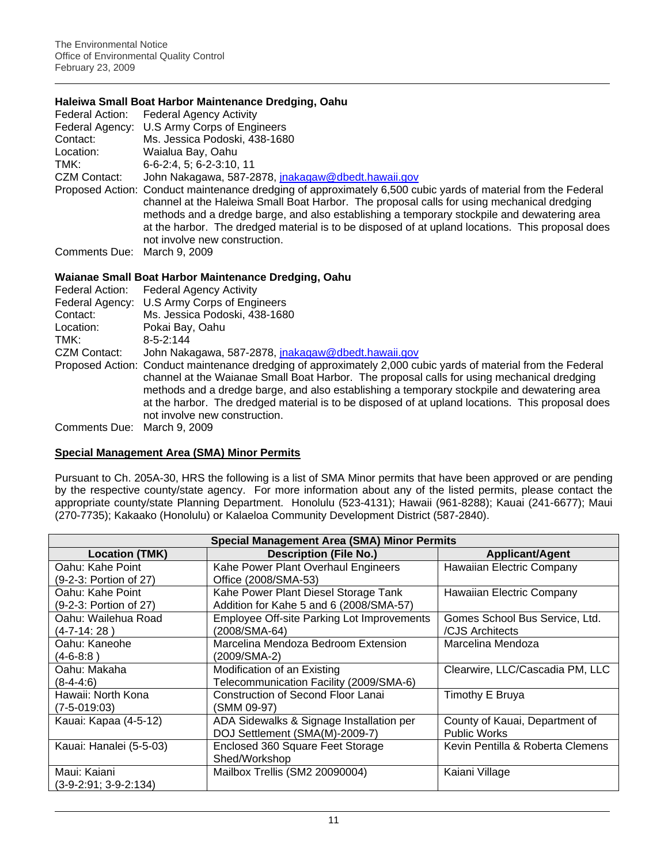### **Haleiwa Small Boat Harbor Maintenance Dredging, Oahu**

|                             | Federal Action: Federal Agency Activity                                                                                                                                                                                                                                                                                                                                                                                                         |
|-----------------------------|-------------------------------------------------------------------------------------------------------------------------------------------------------------------------------------------------------------------------------------------------------------------------------------------------------------------------------------------------------------------------------------------------------------------------------------------------|
|                             | Federal Agency: U.S Army Corps of Engineers                                                                                                                                                                                                                                                                                                                                                                                                     |
| Contact:                    | Ms. Jessica Podoski, 438-1680                                                                                                                                                                                                                                                                                                                                                                                                                   |
| Location:                   | Waialua Bay, Oahu                                                                                                                                                                                                                                                                                                                                                                                                                               |
| TMK:                        | 6-6-2:4, 5; 6-2-3:10, 11                                                                                                                                                                                                                                                                                                                                                                                                                        |
| CZM Contact:                | John Nakagawa, 587-2878, jnakagaw@dbedt.hawaii.gov                                                                                                                                                                                                                                                                                                                                                                                              |
|                             | Proposed Action: Conduct maintenance dredging of approximately 6,500 cubic yards of material from the Federal<br>channel at the Haleiwa Small Boat Harbor. The proposal calls for using mechanical dredging<br>methods and a dredge barge, and also establishing a temporary stockpile and dewatering area<br>at the harbor. The dredged material is to be disposed of at upland locations. This proposal does<br>not involve new construction. |
| Comments Due: March 9, 2009 |                                                                                                                                                                                                                                                                                                                                                                                                                                                 |

### **Waianae Small Boat Harbor Maintenance Dredging, Oahu**

| Federal Action:             | <b>Federal Agency Activity</b>                                                                                                                                                                                                                                                                                                                                                                                                                  |
|-----------------------------|-------------------------------------------------------------------------------------------------------------------------------------------------------------------------------------------------------------------------------------------------------------------------------------------------------------------------------------------------------------------------------------------------------------------------------------------------|
|                             | Federal Agency: U.S Army Corps of Engineers                                                                                                                                                                                                                                                                                                                                                                                                     |
| Contact:                    | Ms. Jessica Podoski, 438-1680                                                                                                                                                                                                                                                                                                                                                                                                                   |
| Location:                   | Pokai Bay, Oahu                                                                                                                                                                                                                                                                                                                                                                                                                                 |
| TMK:                        | $8 - 5 - 2:144$                                                                                                                                                                                                                                                                                                                                                                                                                                 |
| CZM Contact:                | John Nakagawa, 587-2878, jnakagaw@dbedt.hawaii.gov                                                                                                                                                                                                                                                                                                                                                                                              |
|                             | Proposed Action: Conduct maintenance dredging of approximately 2,000 cubic yards of material from the Federal<br>channel at the Waianae Small Boat Harbor. The proposal calls for using mechanical dredging<br>methods and a dredge barge, and also establishing a temporary stockpile and dewatering area<br>at the harbor. The dredged material is to be disposed of at upland locations. This proposal does<br>not involve new construction. |
| Comments Due: March 9, 2009 |                                                                                                                                                                                                                                                                                                                                                                                                                                                 |

# **Special Management Area (SMA) Minor Permits**

Pursuant to Ch. 205A-30, HRS the following is a list of SMA Minor permits that have been approved or are pending by the respective county/state agency. For more information about any of the listed permits, please contact the appropriate county/state Planning Department. Honolulu (523-4131); Hawaii (961-8288); Kauai (241-6677); Maui (270-7735); Kakaako (Honolulu) or Kalaeloa Community Development District (587-2840).

| <b>Special Management Area (SMA) Minor Permits</b> |                                                   |                                  |  |  |
|----------------------------------------------------|---------------------------------------------------|----------------------------------|--|--|
| <b>Location (TMK)</b>                              | <b>Description (File No.)</b>                     | <b>Applicant/Agent</b>           |  |  |
| Oahu: Kahe Point                                   | Kahe Power Plant Overhaul Engineers               | Hawaiian Electric Company        |  |  |
| (9-2-3: Portion of 27)                             | Office (2008/SMA-53)                              |                                  |  |  |
| Oahu: Kahe Point                                   | Kahe Power Plant Diesel Storage Tank              | Hawaiian Electric Company        |  |  |
| (9-2-3: Portion of 27)                             | Addition for Kahe 5 and 6 (2008/SMA-57)           |                                  |  |  |
| Oahu: Wailehua Road                                | <b>Employee Off-site Parking Lot Improvements</b> | Gomes School Bus Service, Ltd.   |  |  |
| (4-7-14: 28 )                                      | (2008/SMA-64)                                     | /CJS Architects                  |  |  |
| Oahu: Kaneohe                                      | Marcelina Mendoza Bedroom Extension               | Marcelina Mendoza                |  |  |
| (4-6-8:8 )                                         | (2009/SMA-2)                                      |                                  |  |  |
| Oahu: Makaha                                       | Modification of an Existing                       | Clearwire, LLC/Cascadia PM, LLC  |  |  |
| $(8-4-4:6)$                                        | Telecommunication Facility (2009/SMA-6)           |                                  |  |  |
| Hawaii: North Kona                                 | <b>Construction of Second Floor Lanai</b>         | Timothy E Bruya                  |  |  |
| $(7-5-019:03)$                                     | (SMM 09-97)                                       |                                  |  |  |
| Kauai: Kapaa (4-5-12)                              | ADA Sidewalks & Signage Installation per          | County of Kauai, Department of   |  |  |
|                                                    | DOJ Settlement (SMA(M)-2009-7)                    | <b>Public Works</b>              |  |  |
| Kauai: Hanalei (5-5-03)                            | Enclosed 360 Square Feet Storage                  | Kevin Pentilla & Roberta Clemens |  |  |
|                                                    | Shed/Workshop                                     |                                  |  |  |
| Maui: Kaiani                                       | Mailbox Trellis (SM2 20090004)                    | Kaiani Village                   |  |  |
| $(3-9-2:91; 3-9-2:134)$                            |                                                   |                                  |  |  |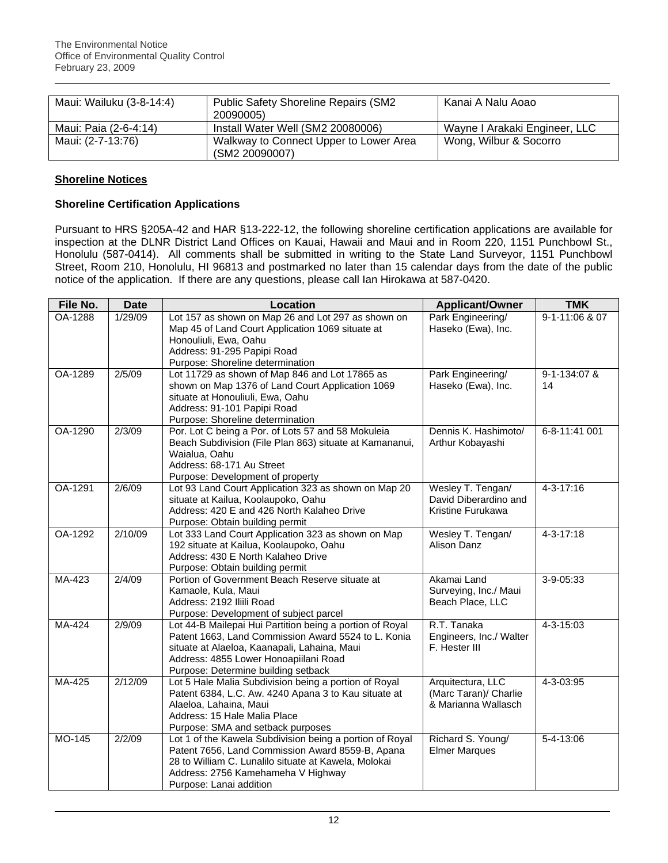| Maui: Wailuku (3-8-14:4) | <b>Public Safety Shoreline Repairs (SM2</b> | Kanai A Nalu Aoao             |  |
|--------------------------|---------------------------------------------|-------------------------------|--|
|                          | 20090005)                                   |                               |  |
| Maui: Paia (2-6-4:14)    | Install Water Well (SM2 20080006)           | Wayne I Arakaki Engineer, LLC |  |
| Maui: (2-7-13:76)        | Walkway to Connect Upper to Lower Area      | Wong, Wilbur & Socorro        |  |
|                          | (SM2 20090007)                              |                               |  |

# **Shoreline Notices**

# **Shoreline Certification Applications**

Pursuant to HRS §205A-42 and HAR §13-222-12, the following shoreline certification applications are available for inspection at the DLNR District Land Offices on Kauai, Hawaii and Maui and in Room 220, 1151 Punchbowl St., Honolulu (587-0414). All comments shall be submitted in writing to the State Land Surveyor, 1151 Punchbowl Street, Room 210, Honolulu, HI 96813 and postmarked no later than 15 calendar days from the date of the public notice of the application. If there are any questions, please call Ian Hirokawa at 587-0420.

| File No. | <b>Date</b> | Location                                                                                                                                                                                                                                        | <b>Applicant/Owner</b>                                            | <b>TMK</b>         |
|----------|-------------|-------------------------------------------------------------------------------------------------------------------------------------------------------------------------------------------------------------------------------------------------|-------------------------------------------------------------------|--------------------|
| OA-1288  | 1/29/09     | Lot 157 as shown on Map 26 and Lot 297 as shown on<br>Map 45 of Land Court Application 1069 situate at<br>Honouliuli, Ewa, Oahu<br>Address: 91-295 Papipi Road<br>Purpose: Shoreline determination                                              | Park Engineering/<br>Haseko (Ewa), Inc.                           |                    |
| OA-1289  | 2/5/09      | Lot 11729 as shown of Map 846 and Lot 17865 as<br>shown on Map 1376 of Land Court Application 1069<br>situate at Honouliuli, Ewa, Oahu<br>Address: 91-101 Papipi Road<br>Purpose: Shoreline determination                                       | Park Engineering/<br>Haseko (Ewa), Inc.                           | 9-1-134:07 &<br>14 |
| OA-1290  | 2/3/09      | Por. Lot C being a Por. of Lots 57 and 58 Mokuleia<br>Beach Subdivision (File Plan 863) situate at Kamananui,<br>Waialua, Oahu<br>Address: 68-171 Au Street<br>Purpose: Development of property                                                 | Dennis K. Hashimoto/<br>Arthur Kobayashi                          | 6-8-11:41 001      |
| OA-1291  | 2/6/09      | Lot 93 Land Court Application 323 as shown on Map 20<br>situate at Kailua, Koolaupoko, Oahu<br>Address: 420 E and 426 North Kalaheo Drive<br>Purpose: Obtain building permit                                                                    | Wesley T. Tengan/<br>David Diberardino and<br>Kristine Furukawa   | 4-3-17:16          |
| OA-1292  | 2/10/09     | Lot 333 Land Court Application 323 as shown on Map<br>192 situate at Kailua, Koolaupoko, Oahu<br>Address: 430 E North Kalaheo Drive<br>Purpose: Obtain building permit                                                                          | Wesley T. Tengan/<br>Alison Danz                                  | 4-3-17:18          |
| MA-423   | 2/4/09      | Portion of Government Beach Reserve situate at<br>Kamaole, Kula, Maui<br>Address: 2192 Iliili Road<br>Purpose: Development of subject parcel                                                                                                    | Akamai Land<br>Surveying, Inc./ Maui<br>Beach Place, LLC          | 3-9-05:33          |
| MA-424   | 2/9/09      | Lot 44-B Mailepai Hui Partition being a portion of Royal<br>Patent 1663, Land Commission Award 5524 to L. Konia<br>situate at Alaeloa, Kaanapali, Lahaina, Maui<br>Address: 4855 Lower Honoapiilani Road<br>Purpose: Determine building setback | R.T. Tanaka<br>Engineers, Inc./ Walter<br>F. Hester III           | 4-3-15:03          |
| MA-425   | 2/12/09     | Lot 5 Hale Malia Subdivision being a portion of Royal<br>Patent 6384, L.C. Aw. 4240 Apana 3 to Kau situate at<br>Alaeloa, Lahaina, Maui<br>Address: 15 Hale Malia Place<br>Purpose: SMA and setback purposes                                    | Arquitectura, LLC<br>(Marc Taran)/ Charlie<br>& Marianna Wallasch | 4-3-03:95          |
| MO-145   | 2/2/09      | Lot 1 of the Kawela Subdivision being a portion of Royal<br>Patent 7656, Land Commission Award 8559-B, Apana<br>28 to William C. Lunalilo situate at Kawela, Molokai<br>Address: 2756 Kamehameha V Highway<br>Purpose: Lanai addition           | Richard S. Young/<br><b>Elmer Marques</b>                         | 5-4-13:06          |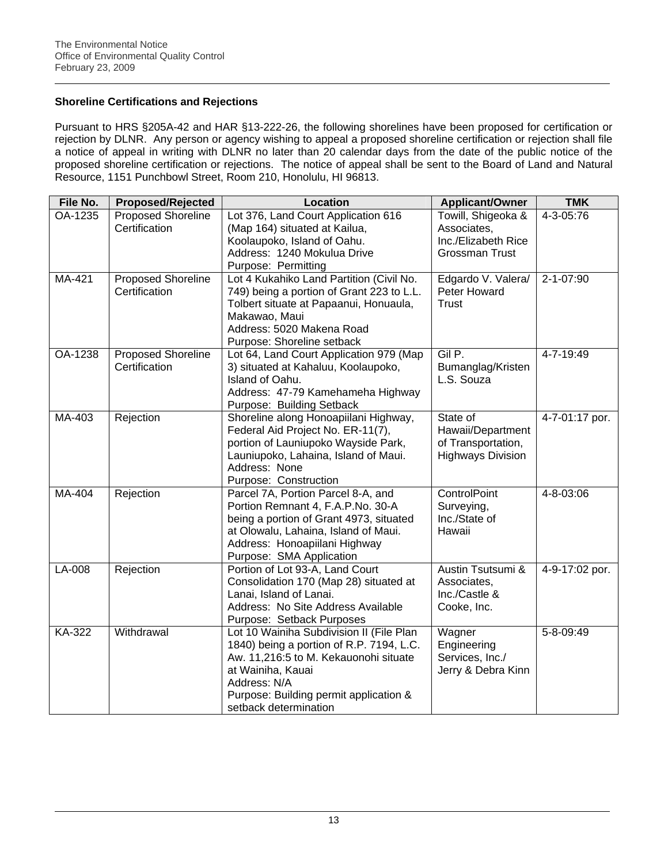# **Shoreline Certifications and Rejections**

Pursuant to HRS §205A-42 and HAR §13-222-26, the following shorelines have been proposed for certification or rejection by DLNR. Any person or agency wishing to appeal a proposed shoreline certification or rejection shall file a notice of appeal in writing with DLNR no later than 20 calendar days from the date of the public notice of the proposed shoreline certification or rejections. The notice of appeal shall be sent to the Board of Land and Natural Resource, 1151 Punchbowl Street, Room 210, Honolulu, HI 96813.

| File No. | <b>Proposed/Rejected</b>  | <b>Location</b><br><b>Applicant/Owner</b> |                          | <b>TMK</b>     |
|----------|---------------------------|-------------------------------------------|--------------------------|----------------|
| OA-1235  | <b>Proposed Shoreline</b> | Lot 376, Land Court Application 616       | Towill, Shigeoka &       | 4-3-05:76      |
|          | Certification             | (Map 164) situated at Kailua,             | Associates,              |                |
|          |                           | Koolaupoko, Island of Oahu.               | Inc./Elizabeth Rice      |                |
|          |                           | Address: 1240 Mokulua Drive               | <b>Grossman Trust</b>    |                |
|          |                           | Purpose: Permitting                       |                          |                |
| MA-421   | <b>Proposed Shoreline</b> | Lot 4 Kukahiko Land Partition (Civil No.  | Edgardo V. Valera/       | 2-1-07:90      |
|          | Certification             | 749) being a portion of Grant 223 to L.L. | Peter Howard             |                |
|          |                           | Tolbert situate at Papaanui, Honuaula,    | <b>Trust</b>             |                |
|          |                           | Makawao, Maui                             |                          |                |
|          |                           | Address: 5020 Makena Road                 |                          |                |
|          |                           | Purpose: Shoreline setback                |                          |                |
| OA-1238  | Proposed Shoreline        | Lot 64, Land Court Application 979 (Map   | Gil P.                   | 4-7-19:49      |
|          | Certification             | 3) situated at Kahaluu, Koolaupoko,       | Bumanglag/Kristen        |                |
|          |                           | Island of Oahu.                           | L.S. Souza               |                |
|          |                           | Address: 47-79 Kamehameha Highway         |                          |                |
|          |                           | Purpose: Building Setback                 |                          |                |
| MA-403   | Rejection                 | Shoreline along Honoapiilani Highway,     | State of                 | 4-7-01:17 por. |
|          |                           | Federal Aid Project No. ER-11(7),         | Hawaii/Department        |                |
|          |                           | portion of Launiupoko Wayside Park,       | of Transportation,       |                |
|          |                           | Launiupoko, Lahaina, Island of Maui.      | <b>Highways Division</b> |                |
|          |                           | Address: None                             |                          |                |
|          |                           | Purpose: Construction                     |                          |                |
| MA-404   | Rejection                 | Parcel 7A, Portion Parcel 8-A, and        | ControlPoint             | 4-8-03:06      |
|          |                           | Portion Remnant 4, F.A.P.No. 30-A         | Surveying,               |                |
|          |                           | being a portion of Grant 4973, situated   | Inc./State of            |                |
|          |                           | at Olowalu, Lahaina, Island of Maui.      | Hawaii                   |                |
|          |                           | Address: Honoapiilani Highway             |                          |                |
|          |                           | Purpose: SMA Application                  |                          |                |
| LA-008   | Rejection                 | Portion of Lot 93-A, Land Court           | Austin Tsutsumi &        | 4-9-17:02 por. |
|          |                           | Consolidation 170 (Map 28) situated at    | Associates,              |                |
|          |                           | Lanai, Island of Lanai.                   | Inc./Castle &            |                |
|          |                           | Address: No Site Address Available        | Cooke, Inc.              |                |
|          |                           | Purpose: Setback Purposes                 |                          |                |
| KA-322   | Withdrawal                | Lot 10 Wainiha Subdivision II (File Plan  | Wagner                   | 5-8-09:49      |
|          |                           | 1840) being a portion of R.P. 7194, L.C.  | Engineering              |                |
|          |                           | Aw. 11,216:5 to M. Kekauonohi situate     | Services, Inc./          |                |
|          |                           | at Wainiha, Kauai                         | Jerry & Debra Kinn       |                |
|          |                           | Address: N/A                              |                          |                |
|          |                           | Purpose: Building permit application &    |                          |                |
|          |                           | setback determination                     |                          |                |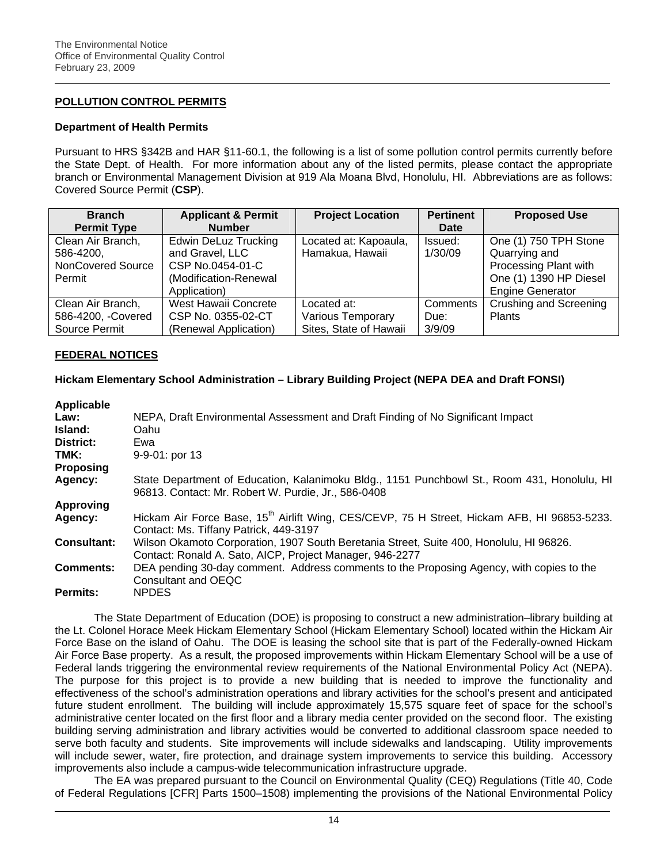# **POLLUTION CONTROL PERMITS**

#### **Department of Health Permits**

Pursuant to HRS §342B and HAR §11-60.1, the following is a list of some pollution control permits currently before the State Dept. of Health. For more information about any of the listed permits, please contact the appropriate branch or Environmental Management Division at 919 Ala Moana Blvd, Honolulu, HI. Abbreviations are as follows: Covered Source Permit (**CSP**).

| <b>Branch</b>      | <b>Applicant &amp; Permit</b> | <b>Project Location</b> | <b>Pertinent</b> | <b>Proposed Use</b>     |
|--------------------|-------------------------------|-------------------------|------------------|-------------------------|
| <b>Permit Type</b> | <b>Number</b>                 |                         | Date             |                         |
| Clean Air Branch,  | <b>Edwin DeLuz Trucking</b>   | Located at: Kapoaula,   | Issued:          | One (1) 750 TPH Stone   |
| 586-4200,          | and Gravel, LLC               | Hamakua, Hawaii         | 1/30/09          | Quarrying and           |
| NonCovered Source  | CSP No.0454-01-C              |                         |                  | Processing Plant with   |
| Permit             | (Modification-Renewal)        |                         |                  | One (1) 1390 HP Diesel  |
|                    | Application)                  |                         |                  | <b>Engine Generator</b> |
| Clean Air Branch,  | West Hawaii Concrete          | Located at:             | Comments         | Crushing and Screening  |
| 586-4200, -Covered | CSP No. 0355-02-CT            | Various Temporary       | Due:             | Plants                  |
| Source Permit      | (Renewal Application)         | Sites, State of Hawaii  | 3/9/09           |                         |

### **FEDERAL NOTICES**

### **Hickam Elementary School Administration – Library Building Project (NEPA DEA and Draft FONSI)**

| <b>Applicable</b>  |                                                                                                                                                     |
|--------------------|-----------------------------------------------------------------------------------------------------------------------------------------------------|
| Law:               | NEPA, Draft Environmental Assessment and Draft Finding of No Significant Impact                                                                     |
| Island:            | Oahu                                                                                                                                                |
| District:          | Ewa                                                                                                                                                 |
| TMK:               | $9-9-01$ : por 13                                                                                                                                   |
| <b>Proposing</b>   |                                                                                                                                                     |
| Agency:            | State Department of Education, Kalanimoku Bldg., 1151 Punchbowl St., Room 431, Honolulu, HI<br>96813. Contact: Mr. Robert W. Purdie, Jr., 586-0408  |
| <b>Approving</b>   |                                                                                                                                                     |
| Agency:            | Hickam Air Force Base, 15 <sup>th</sup> Airlift Wing, CES/CEVP, 75 H Street, Hickam AFB, HI 96853-5233.<br>Contact: Ms. Tiffany Patrick, 449-3197   |
| <b>Consultant:</b> | Wilson Okamoto Corporation, 1907 South Beretania Street, Suite 400, Honolulu, HI 96826.<br>Contact: Ronald A. Sato, AICP, Project Manager, 946-2277 |
| <b>Comments:</b>   | DEA pending 30-day comment. Address comments to the Proposing Agency, with copies to the<br>Consultant and OEQC                                     |
| Permits:           | <b>NPDES</b>                                                                                                                                        |

The State Department of Education (DOE) is proposing to construct a new administration–library building at the Lt. Colonel Horace Meek Hickam Elementary School (Hickam Elementary School) located within the Hickam Air Force Base on the island of Oahu. The DOE is leasing the school site that is part of the Federally-owned Hickam Air Force Base property. As a result, the proposed improvements within Hickam Elementary School will be a use of Federal lands triggering the environmental review requirements of the National Environmental Policy Act (NEPA). The purpose for this project is to provide a new building that is needed to improve the functionality and effectiveness of the school's administration operations and library activities for the school's present and anticipated future student enrollment. The building will include approximately 15,575 square feet of space for the school's administrative center located on the first floor and a library media center provided on the second floor. The existing building serving administration and library activities would be converted to additional classroom space needed to serve both faculty and students. Site improvements will include sidewalks and landscaping. Utility improvements will include sewer, water, fire protection, and drainage system improvements to service this building. Accessory improvements also include a campus-wide telecommunication infrastructure upgrade.

The EA was prepared pursuant to the Council on Environmental Quality (CEQ) Regulations (Title 40, Code of Federal Regulations [CFR] Parts 1500–1508) implementing the provisions of the National Environmental Policy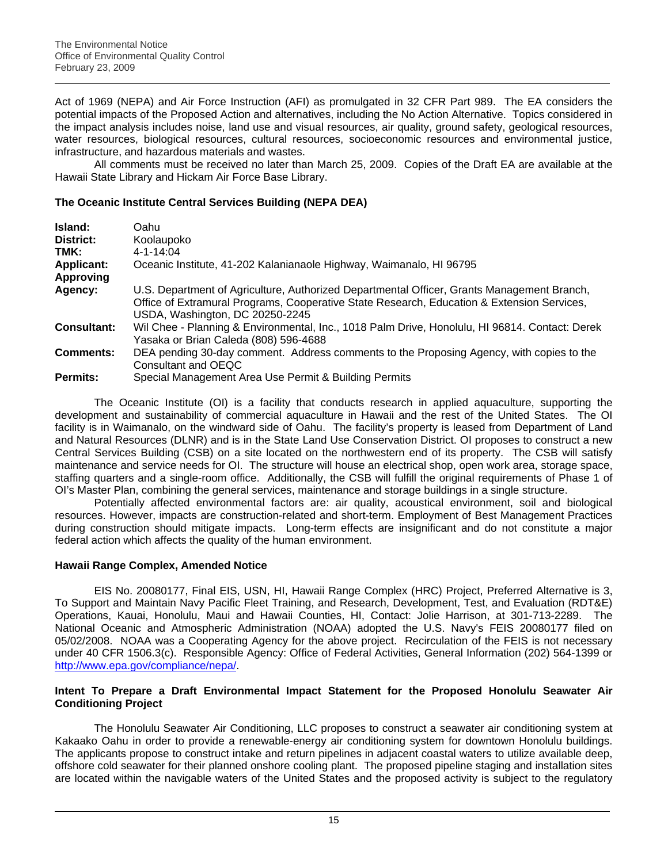Act of 1969 (NEPA) and Air Force Instruction (AFI) as promulgated in 32 CFR Part 989. The EA considers the potential impacts of the Proposed Action and alternatives, including the No Action Alternative. Topics considered in the impact analysis includes noise, land use and visual resources, air quality, ground safety, geological resources, water resources, biological resources, cultural resources, socioeconomic resources and environmental justice, infrastructure, and hazardous materials and wastes.

All comments must be received no later than March 25, 2009. Copies of the Draft EA are available at the Hawaii State Library and Hickam Air Force Base Library.

# **The Oceanic Institute Central Services Building (NEPA DEA)**

| Island:            | Oahu                                                                                                                                                                                                                        |
|--------------------|-----------------------------------------------------------------------------------------------------------------------------------------------------------------------------------------------------------------------------|
| District:          | Koolaupoko                                                                                                                                                                                                                  |
| TMK:               | $4 - 1 - 14:04$                                                                                                                                                                                                             |
| <b>Applicant:</b>  | Oceanic Institute, 41-202 Kalanianaole Highway, Waimanalo, HI 96795                                                                                                                                                         |
| <b>Approving</b>   |                                                                                                                                                                                                                             |
| Agency:            | U.S. Department of Agriculture, Authorized Departmental Officer, Grants Management Branch,<br>Office of Extramural Programs, Cooperative State Research, Education & Extension Services,<br>USDA, Washington, DC 20250-2245 |
| <b>Consultant:</b> | Wil Chee - Planning & Environmental, Inc., 1018 Palm Drive, Honolulu, HI 96814. Contact: Derek<br>Yasaka or Brian Caleda (808) 596-4688                                                                                     |
| <b>Comments:</b>   | DEA pending 30-day comment. Address comments to the Proposing Agency, with copies to the<br>Consultant and OEQC                                                                                                             |
| <b>Permits:</b>    | Special Management Area Use Permit & Building Permits                                                                                                                                                                       |

The Oceanic Institute (OI) is a facility that conducts research in applied aquaculture, supporting the development and sustainability of commercial aquaculture in Hawaii and the rest of the United States. The OI facility is in Waimanalo, on the windward side of Oahu. The facility's property is leased from Department of Land and Natural Resources (DLNR) and is in the State Land Use Conservation District. OI proposes to construct a new Central Services Building (CSB) on a site located on the northwestern end of its property. The CSB will satisfy maintenance and service needs for OI. The structure will house an electrical shop, open work area, storage space, staffing quarters and a single-room office. Additionally, the CSB will fulfill the original requirements of Phase 1 of OI's Master Plan, combining the general services, maintenance and storage buildings in a single structure.

Potentially affected environmental factors are: air quality, acoustical environment, soil and biological resources. However, impacts are construction-related and short-term. Employment of Best Management Practices during construction should mitigate impacts. Long-term effects are insignificant and do not constitute a major federal action which affects the quality of the human environment.

# **Hawaii Range Complex, Amended Notice**

EIS No. 20080177, Final EIS, USN, HI, Hawaii Range Complex (HRC) Project, Preferred Alternative is 3, To Support and Maintain Navy Pacific Fleet Training, and Research, Development, Test, and Evaluation (RDT&E) Operations, Kauai, Honolulu, Maui and Hawaii Counties, HI, Contact: Jolie Harrison, at 301-713-2289. The National Oceanic and Atmospheric Administration (NOAA) adopted the U.S. Navy's FEIS 20080177 filed on 05/02/2008. NOAA was a Cooperating Agency for the above project. Recirculation of the FEIS is not necessary under 40 CFR 1506.3(c). Responsible Agency: Office of Federal Activities, General Information (202) 564-1399 or [http://www.epa.gov/compliance/nepa/.](http://frwebgate.access.gpo.gov/cgi-bin/leaving.cgi?from=leavingFR.html&log=linklog&to=http://www.epa.gov/compliance/nepa/)

### **Intent To Prepare a Draft Environmental Impact Statement for the Proposed Honolulu Seawater Air Conditioning Project**

The Honolulu Seawater Air Conditioning, LLC proposes to construct a seawater air conditioning system at Kakaako Oahu in order to provide a renewable-energy air conditioning system for downtown Honolulu buildings. The applicants propose to construct intake and return pipelines in adjacent coastal waters to utilize available deep, offshore cold seawater for their planned onshore cooling plant. The proposed pipeline staging and installation sites are located within the navigable waters of the United States and the proposed activity is subject to the regulatory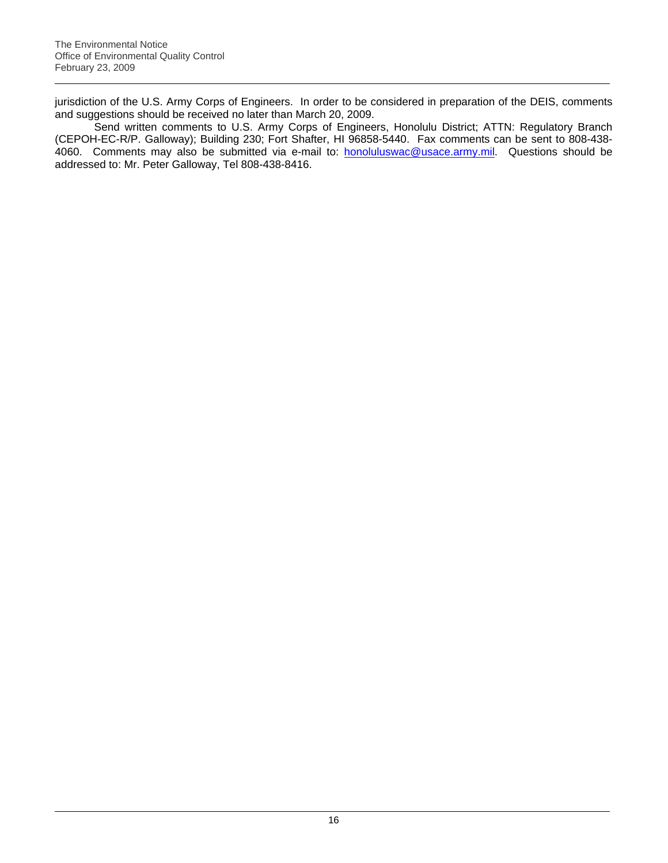jurisdiction of the U.S. Army Corps of Engineers. In order to be considered in preparation of the DEIS, comments and suggestions should be received no later than March 20, 2009.

Send written comments to U.S. Army Corps of Engineers, Honolulu District; ATTN: Regulatory Branch (CEPOH-EC-R/P. Galloway); Building 230; Fort Shafter, HI 96858-5440. Fax comments can be sent to 808-438- 4060. Comments may also be submitted via e-mail to: **[honoluluswac@usace.army.mil.](mailto:honoluluswac@usace.army.mil)** Questions should be addressed to: Mr. Peter Galloway, Tel 808-438-8416.